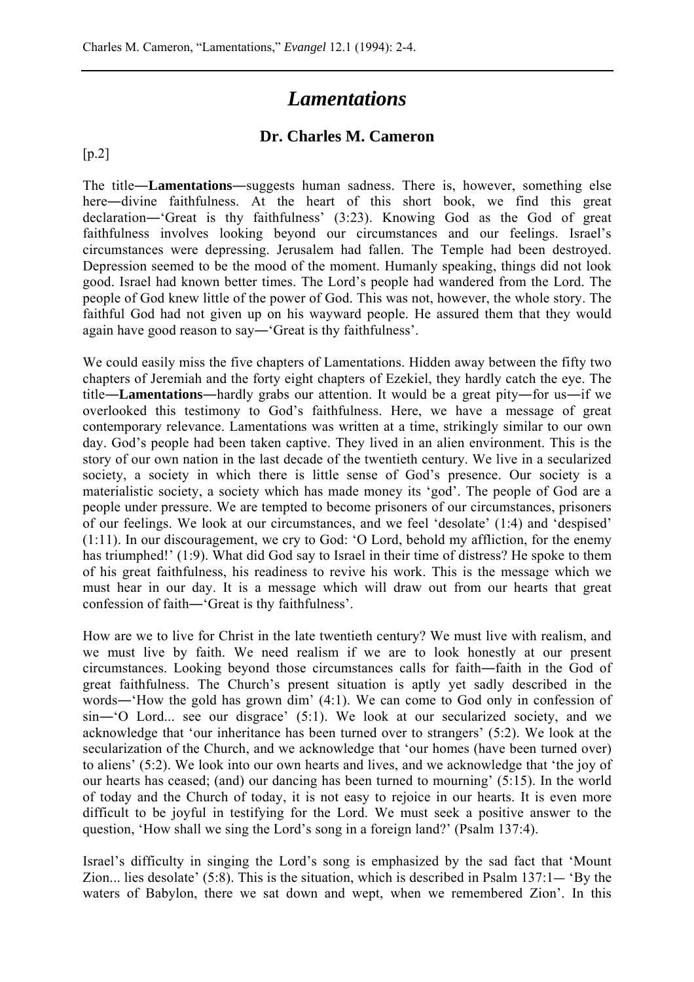## *Lamentations*

## **Dr. Charles M. Cameron**

[p.2]

The title―**Lamentations**―suggests human sadness. There is, however, something else here—divine faithfulness. At the heart of this short book, we find this great declaration―'Great is thy faithfulness' (3:23). Knowing God as the God of great faithfulness involves looking beyond our circumstances and our feelings. Israel's circumstances were depressing. Jerusalem had fallen. The Temple had been destroyed. Depression seemed to be the mood of the moment. Humanly speaking, things did not look good. Israel had known better times. The Lord's people had wandered from the Lord. The people of God knew little of the power of God. This was not, however, the whole story. The faithful God had not given up on his wayward people. He assured them that they would again have good reason to say―'Great is thy faithfulness'.

We could easily miss the five chapters of Lamentations. Hidden away between the fifty two chapters of Jeremiah and the forty eight chapters of Ezekiel, they hardly catch the eye. The title―**Lamentations**―hardly grabs our attention. It would be a great pity―for us―if we overlooked this testimony to God's faithfulness. Here, we have a message of great contemporary relevance. Lamentations was written at a time, strikingly similar to our own day. God's people had been taken captive. They lived in an alien environment. This is the story of our own nation in the last decade of the twentieth century. We live in a secularized society, a society in which there is little sense of God's presence. Our society is a materialistic society, a society which has made money its 'god'. The people of God are a people under pressure. We are tempted to become prisoners of our circumstances, prisoners of our feelings. We look at our circumstances, and we feel 'desolate' (1:4) and 'despised' (1:11). In our discouragement, we cry to God: 'O Lord, behold my affliction, for the enemy has triumphed!' (1:9). What did God say to Israel in their time of distress? He spoke to them of his great faithfulness, his readiness to revive his work. This is the message which we must hear in our day. It is a message which will draw out from our hearts that great confession of faith―'Great is thy faithfulness'.

How are we to live for Christ in the late twentieth century? We must live with realism, and we must live by faith. We need realism if we are to look honestly at our present circumstances. Looking beyond those circumstances calls for faith―faith in the God of great faithfulness. The Church's present situation is aptly yet sadly described in the words―'How the gold has grown dim' (4:1). We can come to God only in confession of sin―'O Lord... see our disgrace' (5:1). We look at our secularized society, and we acknowledge that 'our inheritance has been turned over to strangers' (5:2). We look at the secularization of the Church, and we acknowledge that 'our homes (have been turned over) to aliens' (5:2). We look into our own hearts and lives, and we acknowledge that 'the joy of our hearts has ceased; (and) our dancing has been turned to mourning' (5:15). In the world of today and the Church of today, it is not easy to rejoice in our hearts. It is even more difficult to be joyful in testifying for the Lord. We must seek a positive answer to the question, 'How shall we sing the Lord's song in a foreign land?' (Psalm 137:4).

Israel's difficulty in singing the Lord's song is emphasized by the sad fact that 'Mount Zion... lies desolate' (5:8). This is the situation, which is described in Psalm 137:1― 'By the waters of Babylon, there we sat down and wept, when we remembered Zion'. In this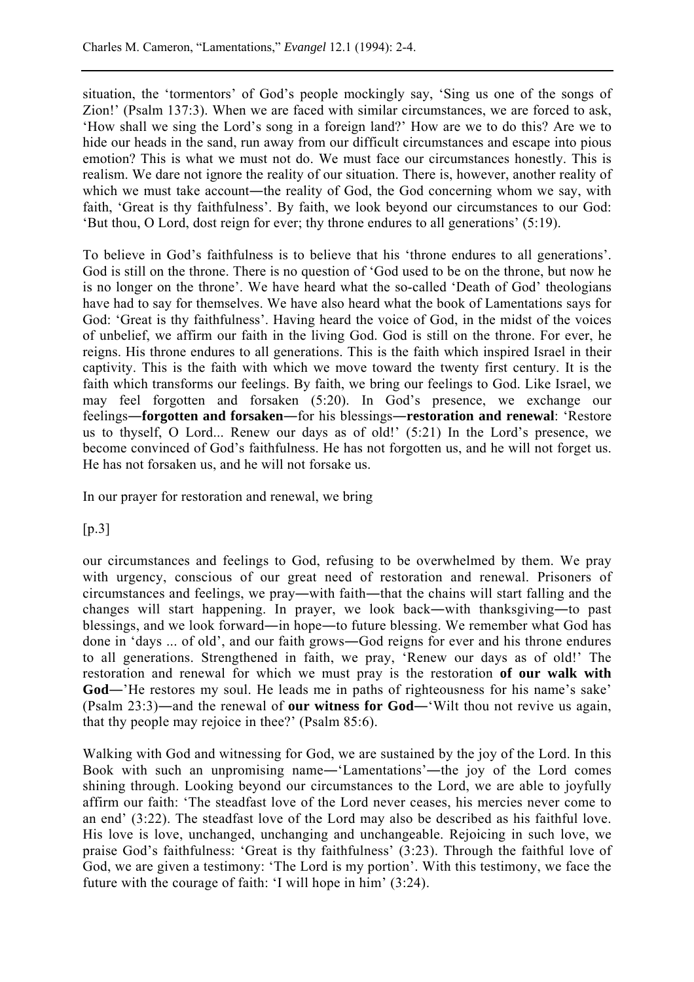situation, the 'tormentors' of God's people mockingly say, 'Sing us one of the songs of Zion!' (Psalm 137:3). When we are faced with similar circumstances, we are forced to ask, 'How shall we sing the Lord's song in a foreign land?' How are we to do this? Are we to hide our heads in the sand, run away from our difficult circumstances and escape into pious emotion? This is what we must not do. We must face our circumstances honestly. This is realism. We dare not ignore the reality of our situation. There is, however, another reality of which we must take account—the reality of God, the God concerning whom we say, with faith, 'Great is thy faithfulness'. By faith, we look beyond our circumstances to our God: 'But thou, O Lord, dost reign for ever; thy throne endures to all generations' (5:19).

To believe in God's faithfulness is to believe that his 'throne endures to all generations'. God is still on the throne. There is no question of 'God used to be on the throne, but now he is no longer on the throne'. We have heard what the so-called 'Death of God' theologians have had to say for themselves. We have also heard what the book of Lamentations says for God: 'Great is thy faithfulness'. Having heard the voice of God, in the midst of the voices of unbelief, we affirm our faith in the living God. God is still on the throne. For ever, he reigns. His throne endures to all generations. This is the faith which inspired Israel in their captivity. This is the faith with which we move toward the twenty first century. It is the faith which transforms our feelings. By faith, we bring our feelings to God. Like Israel, we may feel forgotten and forsaken (5:20). In God's presence, we exchange our feelings―**forgotten and forsaken**―for his blessings―**restoration and renewal**: 'Restore us to thyself, O Lord... Renew our days as of old!' (5:21) In the Lord's presence, we become convinced of God's faithfulness. He has not forgotten us, and he will not forget us. He has not forsaken us, and he will not forsake us.

In our prayer for restoration and renewal, we bring

 $[p.3]$ 

our circumstances and feelings to God, refusing to be overwhelmed by them. We pray with urgency, conscious of our great need of restoration and renewal. Prisoners of circumstances and feelings, we pray―with faith―that the chains will start falling and the changes will start happening. In prayer, we look back―with thanksgiving―to past blessings, and we look forward―in hope―to future blessing. We remember what God has done in 'days ... of old', and our faith grows―God reigns for ever and his throne endures to all generations. Strengthened in faith, we pray, 'Renew our days as of old!' The restoration and renewal for which we must pray is the restoration **of our walk with** God—'He restores my soul. He leads me in paths of righteousness for his name's sake' (Psalm 23:3)―and the renewal of **our witness for God**―'Wilt thou not revive us again, that thy people may rejoice in thee?' (Psalm 85:6).

Walking with God and witnessing for God, we are sustained by the joy of the Lord. In this Book with such an unpromising name―'Lamentations'―the joy of the Lord comes shining through. Looking beyond our circumstances to the Lord, we are able to joyfully affirm our faith: 'The steadfast love of the Lord never ceases, his mercies never come to an end' (3:22). The steadfast love of the Lord may also be described as his faithful love. His love is love, unchanged, unchanging and unchangeable. Rejoicing in such love, we praise God's faithfulness: 'Great is thy faithfulness' (3:23). Through the faithful love of God, we are given a testimony: 'The Lord is my portion'. With this testimony, we face the future with the courage of faith: 'I will hope in him' (3:24).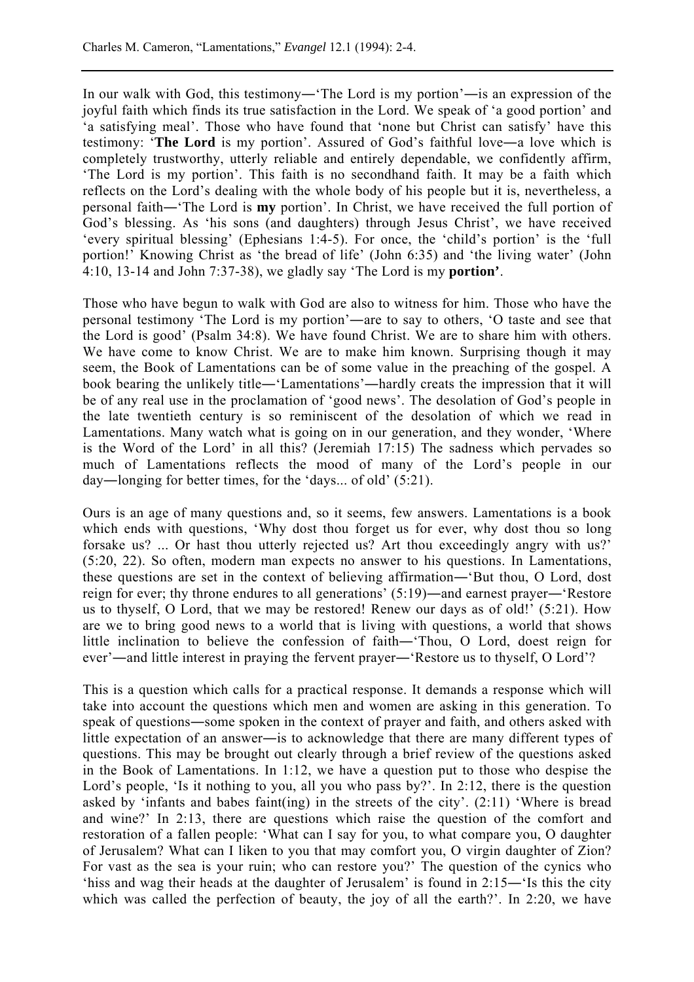In our walk with God, this testimony―'The Lord is my portion'―is an expression of the joyful faith which finds its true satisfaction in the Lord. We speak of 'a good portion' and 'a satisfying meal'. Those who have found that 'none but Christ can satisfy' have this testimony: '**The Lord** is my portion'. Assured of God's faithful love―a love which is completely trustworthy, utterly reliable and entirely dependable, we confidently affirm, 'The Lord is my portion'. This faith is no secondhand faith. It may be a faith which reflects on the Lord's dealing with the whole body of his people but it is, nevertheless, a personal faith―'The Lord is **my** portion'. In Christ, we have received the full portion of God's blessing. As 'his sons (and daughters) through Jesus Christ', we have received 'every spiritual blessing' (Ephesians 1:4-5). For once, the 'child's portion' is the 'full portion!' Knowing Christ as 'the bread of life' (John 6:35) and 'the living water' (John 4:10, 13-14 and John 7:37-38), we gladly say 'The Lord is my **portion'**.

Those who have begun to walk with God are also to witness for him. Those who have the personal testimony 'The Lord is my portion'―are to say to others, 'O taste and see that the Lord is good' (Psalm 34:8). We have found Christ. We are to share him with others. We have come to know Christ. We are to make him known. Surprising though it may seem, the Book of Lamentations can be of some value in the preaching of the gospel. A book bearing the unlikely title―'Lamentations'―hardly creats the impression that it will be of any real use in the proclamation of 'good news'. The desolation of God's people in the late twentieth century is so reminiscent of the desolation of which we read in Lamentations. Many watch what is going on in our generation, and they wonder, 'Where is the Word of the Lord' in all this? (Jeremiah 17:15) The sadness which pervades so much of Lamentations reflects the mood of many of the Lord's people in our day―longing for better times, for the 'days... of old' (5:21).

Ours is an age of many questions and, so it seems, few answers. Lamentations is a book which ends with questions, 'Why dost thou forget us for ever, why dost thou so long forsake us? ... Or hast thou utterly rejected us? Art thou exceedingly angry with us?' (5:20, 22). So often, modern man expects no answer to his questions. In Lamentations, these questions are set in the context of believing affirmation―'But thou, O Lord, dost reign for ever; thy throne endures to all generations' (5:19)―and earnest prayer―'Restore us to thyself, O Lord, that we may be restored! Renew our days as of old!' (5:21). How are we to bring good news to a world that is living with questions, a world that shows little inclination to believe the confession of faith―'Thou, O Lord, doest reign for ever'―and little interest in praying the fervent prayer―'Restore us to thyself, O Lord'?

This is a question which calls for a practical response. It demands a response which will take into account the questions which men and women are asking in this generation. To speak of questions―some spoken in the context of prayer and faith, and others asked with little expectation of an answer―is to acknowledge that there are many different types of questions. This may be brought out clearly through a brief review of the questions asked in the Book of Lamentations. In 1:12, we have a question put to those who despise the Lord's people, 'Is it nothing to you, all you who pass by?'. In 2:12, there is the question asked by 'infants and babes faint(ing) in the streets of the city'. (2:11) 'Where is bread and wine?' In 2:13, there are questions which raise the question of the comfort and restoration of a fallen people: 'What can I say for you, to what compare you, O daughter of Jerusalem? What can I liken to you that may comfort you, O virgin daughter of Zion? For vast as the sea is your ruin; who can restore you?' The question of the cynics who 'hiss and wag their heads at the daughter of Jerusalem' is found in 2:15―'Is this the city which was called the perfection of beauty, the joy of all the earth?'. In 2:20, we have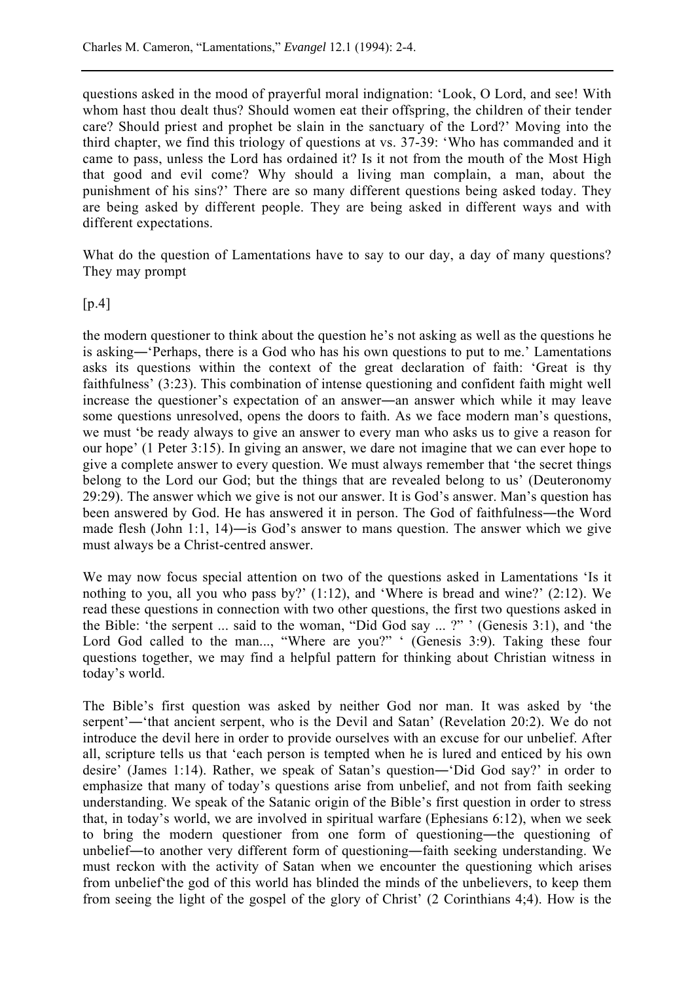questions asked in the mood of prayerful moral indignation: 'Look, O Lord, and see! With whom hast thou dealt thus? Should women eat their offspring, the children of their tender care? Should priest and prophet be slain in the sanctuary of the Lord?' Moving into the third chapter, we find this triology of questions at vs. 37-39: 'Who has commanded and it came to pass, unless the Lord has ordained it? Is it not from the mouth of the Most High that good and evil come? Why should a living man complain, a man, about the punishment of his sins?' There are so many different questions being asked today. They are being asked by different people. They are being asked in different ways and with different expectations.

What do the question of Lamentations have to say to our day, a day of many questions? They may prompt

 $[p.4]$ 

the modern questioner to think about the question he's not asking as well as the questions he is asking―'Perhaps, there is a God who has his own questions to put to me.' Lamentations asks its questions within the context of the great declaration of faith: 'Great is thy faithfulness' (3:23). This combination of intense questioning and confident faith might well increase the questioner's expectation of an answer―an answer which while it may leave some questions unresolved, opens the doors to faith. As we face modern man's questions, we must 'be ready always to give an answer to every man who asks us to give a reason for our hope' (1 Peter 3:15). In giving an answer, we dare not imagine that we can ever hope to give a complete answer to every question. We must always remember that 'the secret things belong to the Lord our God; but the things that are revealed belong to us' (Deuteronomy 29:29). The answer which we give is not our answer. It is God's answer. Man's question has been answered by God. He has answered it in person. The God of faithfulness―the Word made flesh (John 1:1, 14)―is God's answer to mans question. The answer which we give must always be a Christ-centred answer.

We may now focus special attention on two of the questions asked in Lamentations 'Is it nothing to you, all you who pass by?'  $(1:12)$ , and 'Where is bread and wine?'  $(2:12)$ . We read these questions in connection with two other questions, the first two questions asked in the Bible: 'the serpent ... said to the woman, "Did God say ... ?" ' (Genesis 3:1), and 'the Lord God called to the man..., "Where are you?" ' (Genesis 3:9). Taking these four questions together, we may find a helpful pattern for thinking about Christian witness in today's world.

The Bible's first question was asked by neither God nor man. It was asked by 'the serpent'—'that ancient serpent, who is the Devil and Satan' (Revelation 20:2). We do not introduce the devil here in order to provide ourselves with an excuse for our unbelief. After all, scripture tells us that 'each person is tempted when he is lured and enticed by his own desire' (James 1:14). Rather, we speak of Satan's question―'Did God say?' in order to emphasize that many of today's questions arise from unbelief, and not from faith seeking understanding. We speak of the Satanic origin of the Bible's first question in order to stress that, in today's world, we are involved in spiritual warfare (Ephesians 6:12), when we seek to bring the modern questioner from one form of questioning—the questioning of unbelief―to another very different form of questioning―faith seeking understanding. We must reckon with the activity of Satan when we encounter the questioning which arises from unbelief'the god of this world has blinded the minds of the unbelievers, to keep them from seeing the light of the gospel of the glory of Christ' (2 Corinthians 4;4). How is the